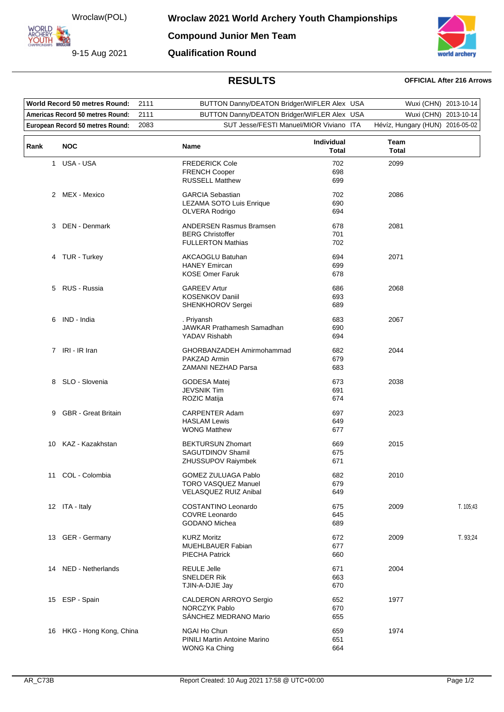Wroclaw(POL)

**ORLD** ARCHERY-

9-15 Aug 2021

**Compound Junior Men Team**

**Qualification Round**



## **RESULTS OFFICIAL After 216 Arrows**

| <b>World Record 50 metres Round:</b> |                                  | 2111 | BUTTON Danny/DEATON Bridger/WIFLER Alex USA         |                            | Wuxi (CHN) 2013-10-14           |           |
|--------------------------------------|----------------------------------|------|-----------------------------------------------------|----------------------------|---------------------------------|-----------|
| Americas Record 50 metres Round:     |                                  | 2111 | BUTTON Danny/DEATON Bridger/WIFLER Alex USA         |                            | Wuxi (CHN) 2013-10-14           |           |
|                                      | European Record 50 metres Round: | 2083 | SUT Jesse/FESTI Manuel/MIOR Viviano ITA             |                            | Hévíz, Hungary (HUN) 2016-05-02 |           |
|                                      |                                  |      |                                                     |                            |                                 |           |
| Rank                                 | <b>NOC</b>                       |      | Name                                                | Individual<br><b>Total</b> | Team<br>Total                   |           |
| 1.                                   | USA - USA                        |      | <b>FREDERICK Cole</b>                               | 702                        | 2099                            |           |
|                                      |                                  |      | <b>FRENCH Cooper</b><br><b>RUSSELL Matthew</b>      | 698<br>699                 |                                 |           |
|                                      |                                  |      |                                                     |                            |                                 |           |
| $\mathbf{2}^{\circ}$                 | MEX - Mexico                     |      | <b>GARCIA Sebastian</b>                             | 702                        | 2086                            |           |
|                                      |                                  |      | LEZAMA SOTO Luis Enrique<br>OLVERA Rodrigo          | 690<br>694                 |                                 |           |
|                                      |                                  |      |                                                     |                            |                                 |           |
| 3                                    | DEN - Denmark                    |      | <b>ANDERSEN Rasmus Bramsen</b>                      | 678                        | 2081                            |           |
|                                      |                                  |      | <b>BERG Christoffer</b><br><b>FULLERTON Mathias</b> | 701<br>702                 |                                 |           |
|                                      |                                  |      |                                                     |                            |                                 |           |
|                                      | 4 TUR - Turkey                   |      | <b>AKCAOGLU Batuhan</b>                             | 694                        | 2071                            |           |
|                                      |                                  |      | <b>HANEY Emircan</b>                                | 699                        |                                 |           |
|                                      |                                  |      | <b>KOSE Omer Faruk</b>                              | 678                        |                                 |           |
|                                      | 5 RUS - Russia                   |      | <b>GAREEV Artur</b>                                 | 686                        | 2068                            |           |
|                                      |                                  |      | <b>KOSENKOV Daniil</b>                              | 693                        |                                 |           |
|                                      |                                  |      | SHENKHOROV Sergei                                   | 689                        |                                 |           |
| 6                                    | IND - India                      |      | . Priyansh                                          | 683                        | 2067                            |           |
|                                      |                                  |      | JAWKAR Prathamesh Samadhan                          | 690                        |                                 |           |
|                                      |                                  |      | YADAV Rishabh                                       | 694                        |                                 |           |
|                                      | 7 IRI - IR Iran                  |      | GHORBANZADEH Amirmohammad                           | 682                        | 2044                            |           |
|                                      |                                  |      | PAKZAD Armin                                        | 679                        |                                 |           |
|                                      |                                  |      | ZAMANI NEZHAD Parsa                                 | 683                        |                                 |           |
| 8                                    | SLO - Slovenia                   |      | <b>GODESA Matei</b>                                 | 673                        | 2038                            |           |
|                                      |                                  |      | <b>JEVSNIK Tim</b>                                  | 691                        |                                 |           |
|                                      |                                  |      | ROZIC Matija                                        | 674                        |                                 |           |
| 9                                    | <b>GBR</b> - Great Britain       |      | <b>CARPENTER Adam</b>                               | 697                        | 2023                            |           |
|                                      |                                  |      | <b>HASLAM Lewis</b>                                 | 649                        |                                 |           |
|                                      |                                  |      | <b>WONG Matthew</b>                                 | 677                        |                                 |           |
| 10                                   | KAZ - Kazakhstan                 |      | <b>BEKTURSUN Zhomart</b>                            | 669                        | 2015                            |           |
|                                      |                                  |      | <b>SAGUTDINOV Shamil</b>                            | 675                        |                                 |           |
|                                      |                                  |      | <b>ZHUSSUPOV Raiymbek</b>                           | 671                        |                                 |           |
|                                      | 11 COL - Colombia                |      | GOMEZ ZULUAGA Pablo                                 | 682                        | 2010                            |           |
|                                      |                                  |      | <b>TORO VASQUEZ Manuel</b>                          | 679                        |                                 |           |
|                                      |                                  |      | <b>VELASQUEZ RUIZ Anibal</b>                        | 649                        |                                 |           |
|                                      | 12 ITA - Italy                   |      | COSTANTINO Leonardo                                 | 675                        | 2009                            | T. 105;43 |
|                                      |                                  |      | <b>COVRE Leonardo</b>                               | 645                        |                                 |           |
|                                      |                                  |      | <b>GODANO Michea</b>                                | 689                        |                                 |           |
|                                      | 13 GER - Germany                 |      | <b>KURZ Moritz</b>                                  | 672                        | 2009                            | T. 93,24  |
|                                      |                                  |      | MUEHLBAUER Fabian                                   | 677                        |                                 |           |
|                                      |                                  |      | <b>PIECHA Patrick</b>                               | 660                        |                                 |           |
|                                      | 14 NED - Netherlands             |      | <b>REULE Jelle</b>                                  | 671                        | 2004                            |           |
|                                      |                                  |      | SNELDER Rik                                         | 663                        |                                 |           |
|                                      |                                  |      | TJIN-A-DJIE Jay                                     | 670                        |                                 |           |
|                                      | 15 ESP - Spain                   |      | CALDERON ARROYO Sergio                              | 652                        | 1977                            |           |
|                                      |                                  |      | <b>NORCZYK Pablo</b>                                | 670                        |                                 |           |
|                                      |                                  |      | SÁNCHEZ MEDRANO Mario                               | 655                        |                                 |           |
|                                      | 16 HKG - Hong Kong, China        |      | NGAI Ho Chun                                        | 659                        | 1974                            |           |
|                                      |                                  |      | PINILI Martin Antoine Marino                        | 651                        |                                 |           |
|                                      |                                  |      | WONG Ka Ching                                       | 664                        |                                 |           |